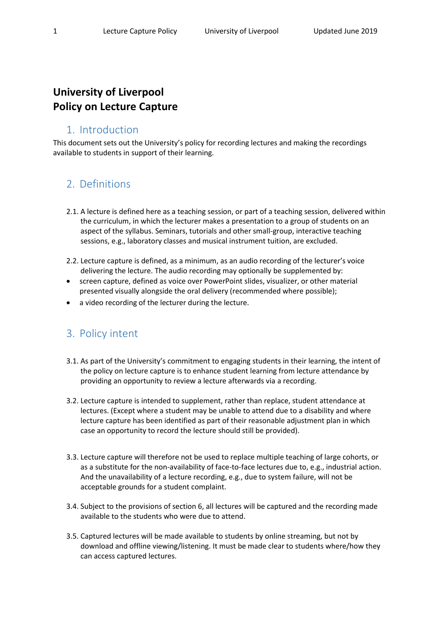# **University of Liverpool Policy on Lecture Capture**

### 1. Introduction

This document sets out the University's policy for recording lectures and making the recordings available to students in support of their learning.

# 2. Definitions

- 2.1. A lecture is defined here as a teaching session, or part of a teaching session, delivered within the curriculum, in which the lecturer makes a presentation to a group of students on an aspect of the syllabus. Seminars, tutorials and other small-group, interactive teaching sessions, e.g., laboratory classes and musical instrument tuition, are excluded.
- 2.2. Lecture capture is defined, as a minimum, as an audio recording of the lecturer's voice delivering the lecture. The audio recording may optionally be supplemented by:
- screen capture, defined as voice over PowerPoint slides, visualizer, or other material presented visually alongside the oral delivery (recommended where possible);
- a video recording of the lecturer during the lecture.

# 3. Policy intent

- 3.1. As part of the University's commitment to engaging students in their learning, the intent of the policy on lecture capture is to enhance student learning from lecture attendance by providing an opportunity to review a lecture afterwards via a recording.
- 3.2. Lecture capture is intended to supplement, rather than replace, student attendance at lectures. (Except where a student may be unable to attend due to a disability and where lecture capture has been identified as part of their reasonable adjustment plan in which case an opportunity to record the lecture should still be provided).
- 3.3. Lecture capture will therefore not be used to replace multiple teaching of large cohorts, or as a substitute for the non-availability of face-to-face lectures due to, e.g., industrial action. And the unavailability of a lecture recording, e.g., due to system failure, will not be acceptable grounds for a student complaint.
- 3.4. Subject to the provisions of section 6, all lectures will be captured and the recording made available to the students who were due to attend.
- 3.5. Captured lectures will be made available to students by online streaming, but not by download and offline viewing/listening. It must be made clear to students where/how they can access captured lectures.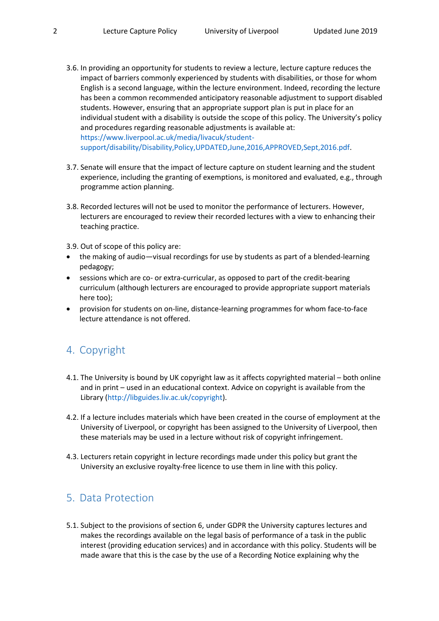- 3.6. In providing an opportunity for students to review a lecture, lecture capture reduces the impact of barriers commonly experienced by students with disabilities, or those for whom English is a second language, within the lecture environment. Indeed, recording the lecture has been a common recommended anticipatory reasonable adjustment to support disabled students. However, ensuring that an appropriate support plan is put in place for an individual student with a disability is outside the scope of this policy. The University's policy and procedures regarding reasonable adjustments is available at: https://www.liverpool.ac.uk/media/livacuk/studentsupport/disability/Disability,Policy,UPDATED,June,2016,APPROVED,Sept,2016.pdf.
- 3.7. Senate will ensure that the impact of lecture capture on student learning and the student experience, including the granting of exemptions, is monitored and evaluated, e.g., through programme action planning.
- 3.8. Recorded lectures will not be used to monitor the performance of lecturers. However, lecturers are encouraged to review their recorded lectures with a view to enhancing their teaching practice.
- 3.9. Out of scope of this policy are:
- the making of audio—visual recordings for use by students as part of a blended-learning pedagogy;
- sessions which are co- or extra-curricular, as opposed to part of the credit-bearing curriculum (although lecturers are encouraged to provide appropriate support materials here too);
- provision for students on on-line, distance-learning programmes for whom face-to-face lecture attendance is not offered.

# 4. Copyright

- 4.1. The University is bound by UK copyright law as it affects copyrighted material both online and in print – used in an educational context. Advice on copyright is available from the Library (http://libguides.liv.ac.uk/copyright).
- 4.2. If a lecture includes materials which have been created in the course of employment at the University of Liverpool, or copyright has been assigned to the University of Liverpool, then these materials may be used in a lecture without risk of copyright infringement.
- 4.3. Lecturers retain copyright in lecture recordings made under this policy but grant the University an exclusive royalty-free licence to use them in line with this policy.

#### 5. Data Protection

5.1. Subject to the provisions of section 6, under GDPR the University captures lectures and makes the recordings available on the legal basis of performance of a task in the public interest (providing education services) and in accordance with this policy. Students will be made aware that this is the case by the use of a Recording Notice explaining why the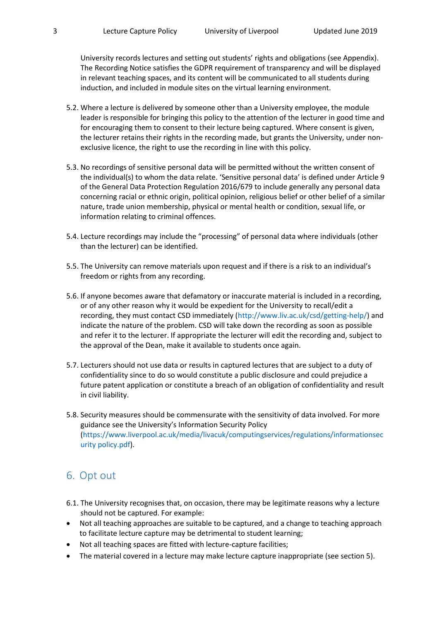University records lectures and setting out students' rights and obligations (see Appendix). The Recording Notice satisfies the GDPR requirement of transparency and will be displayed in relevant teaching spaces, and its content will be communicated to all students during induction, and included in module sites on the virtual learning environment.

- 5.2. Where a lecture is delivered by someone other than a University employee, the module leader is responsible for bringing this policy to the attention of the lecturer in good time and for encouraging them to consent to their lecture being captured. Where consent is given, the lecturer retains their rights in the recording made, but grants the University, under nonexclusive licence, the right to use the recording in line with this policy.
- 5.3. No recordings of sensitive personal data will be permitted without the written consent of the individual(s) to whom the data relate. 'Sensitive personal data' is defined under Article 9 of the General Data Protection Regulation 2016/679 to include generally any personal data concerning racial or ethnic origin, political opinion, religious belief or other belief of a similar nature, trade union membership, physical or mental health or condition, sexual life, or information relating to criminal offences.
- 5.4. Lecture recordings may include the "processing" of personal data where individuals (other than the lecturer) can be identified.
- 5.5. The University can remove materials upon request and if there is a risk to an individual's freedom or rights from any recording.
- 5.6. If anyone becomes aware that defamatory or inaccurate material is included in a recording, or of any other reason why it would be expedient for the University to recall/edit a recording, they must contact CSD immediately (http://www.liv.ac.uk/csd/getting-help/) and indicate the nature of the problem. CSD will take down the recording as soon as possible and refer it to the lecturer. If appropriate the lecturer will edit the recording and, subject to the approval of the Dean, make it available to students once again.
- 5.7. Lecturers should not use data or results in captured lectures that are subject to a duty of confidentiality since to do so would constitute a public disclosure and could prejudice a future patent application or constitute a breach of an obligation of confidentiality and result in civil liability.
- 5.8. Security measures should be commensurate with the sensitivity of data involved. For more guidance see the University's Information Security Policy (https://www.liverpool.ac.uk/media/livacuk/computingservices/regulations/informationsec urity policy.pdf).

#### 6. Opt out

- 6.1. The University recognises that, on occasion, there may be legitimate reasons why a lecture should not be captured. For example:
- Not all teaching approaches are suitable to be captured, and a change to teaching approach to facilitate lecture capture may be detrimental to student learning;
- Not all teaching spaces are fitted with lecture-capture facilities;
- The material covered in a lecture may make lecture capture inappropriate (see section 5).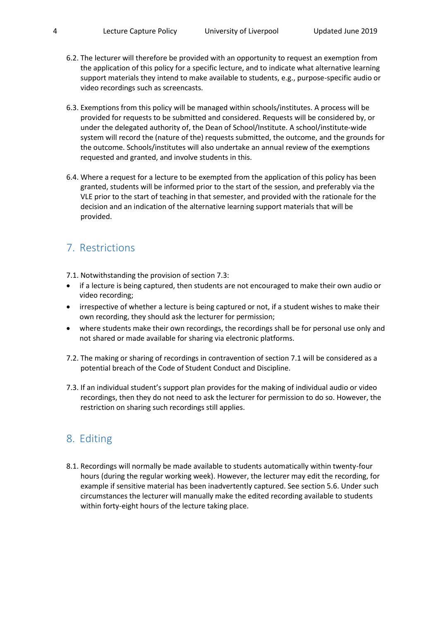- 6.2. The lecturer will therefore be provided with an opportunity to request an exemption from the application of this policy for a specific lecture, and to indicate what alternative learning support materials they intend to make available to students, e.g., purpose-specific audio or video recordings such as screencasts.
- 6.3. Exemptions from this policy will be managed within schools/institutes. A process will be provided for requests to be submitted and considered. Requests will be considered by, or under the delegated authority of, the Dean of School/Institute. A school/institute-wide system will record the (nature of the) requests submitted, the outcome, and the grounds for the outcome. Schools/institutes will also undertake an annual review of the exemptions requested and granted, and involve students in this.
- 6.4. Where a request for a lecture to be exempted from the application of this policy has been granted, students will be informed prior to the start of the session, and preferably via the VLE prior to the start of teaching in that semester, and provided with the rationale for the decision and an indication of the alternative learning support materials that will be provided.

#### 7. Restrictions

- 7.1. Notwithstanding the provision of section 7.3:
- if a lecture is being captured, then students are not encouraged to make their own audio or video recording;
- irrespective of whether a lecture is being captured or not, if a student wishes to make their own recording, they should ask the lecturer for permission;
- where students make their own recordings, the recordings shall be for personal use only and not shared or made available for sharing via electronic platforms.
- 7.2. The making or sharing of recordings in contravention of section 7.1 will be considered as a potential breach of the Code of Student Conduct and Discipline.
- 7.3. If an individual student's support plan provides for the making of individual audio or video recordings, then they do not need to ask the lecturer for permission to do so. However, the restriction on sharing such recordings still applies.

#### 8. Editing

8.1. Recordings will normally be made available to students automatically within twenty-four hours (during the regular working week). However, the lecturer may edit the recording, for example if sensitive material has been inadvertently captured. See section 5.6. Under such circumstances the lecturer will manually make the edited recording available to students within forty-eight hours of the lecture taking place.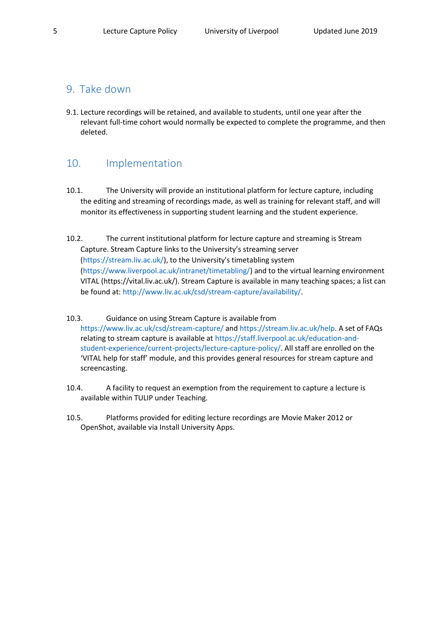## 9. Take down

9.1. Lecture recordings will be retained, and available to students, until one year after the relevant full-time cohort would normally be expected to complete the programme, and then deleted.

# 10. Implementation

- 10.1. The University will provide an institutional platform for lecture capture, including the editing and streaming of recordings made, as well as training for relevant staff, and will monitor its effectiveness in supporting student learning and the student experience.
- 10.2. The current institutional platform for lecture capture and streaming is Stream Capture. Stream Capture links to the University's streaming server (https://stream.liv.ac.uk/), to the University's timetabling system (https://www.liverpool.ac.uk/intranet/timetabling/) and to the virtual learning environment VITAL (https://vital.liv.ac.uk/). Stream Capture is available in many teaching spaces; a list can be found at: http://www.liv.ac.uk/csd/stream-capture/availability/.
- 10.3. Guidance on using Stream Capture is available from https://www.liv.ac.uk/csd/stream-capture/ and https://stream.liv.ac.uk/help. A set of FAQs relating to stream capture is available at https://staff.liverpool.ac.uk/education-andstudent-experience/current-projects/lecture-capture-policy/. All staff are enrolled on the 'VITAL help for staff' module, and this provides general resources for stream capture and screencasting.
- 10.4. A facility to request an exemption from the requirement to capture a lecture is available within TULIP under Teaching.
- 10.5. Platforms provided for editing lecture recordings are Movie Maker 2012 or OpenShot, available via Install University Apps.